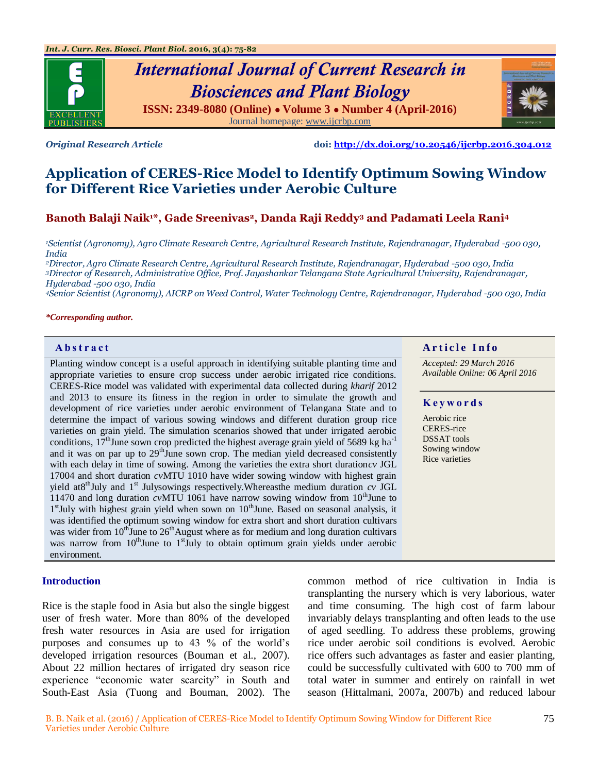

# *International Journal of Current Research in Biosciences and Plant Biology* **ISSN: 2349-8080 (Online) ● Volume 3 ● Number 4 (April-2016)**

Journal homepage[: www.ijcrbp.com](http://www.ijcrbp.com/)



*Original Research Article* **doi:<http://dx.doi.org/10.20546/ijcrbp.2016.304.012>**

# **Application of CERES-Rice Model to Identify Optimum Sowing Window for Different Rice Varieties under Aerobic Culture**

**Banoth Balaji Naik1\*, Gade Sreenivas2, Danda Raji Reddy<sup>3</sup> and Padamati Leela Rani<sup>4</sup>**

*<sup>1</sup>Scientist (Agronomy), Agro Climate Research Centre, Agricultural Research Institute, Rajendranagar, Hyderabad -500 030, India*

*<sup>2</sup>Director, Agro Climate Research Centre, Agricultural Research Institute, Rajendranagar, Hyderabad -500 030, India <sup>3</sup>Director of Research, Administrative Office, Prof. Jayashankar Telangana State Agricultural University, Rajendranagar, Hyderabad -500 030, India*

*<sup>4</sup>Senior Scientist (Agronomy), AICRP on Weed Control, Water Technology Centre, Rajendranagar, Hyderabad -500 030, India*

#### *\*Corresponding author.*

Planting window concept is a useful approach in identifying suitable planting time and appropriate varieties to ensure crop success under aerobic irrigated rice conditions. CERES-Rice model was validated with experimental data collected during *kharif* 2012 and 2013 to ensure its fitness in the region in order to simulate the growth and development of rice varieties under aerobic environment of Telangana State and to determine the impact of various sowing windows and different duration group rice varieties on grain yield. The simulation scenarios showed that under irrigated aerobic conditions,  $17<sup>th</sup>$  June sown crop predicted the highest average grain yield of 5689 kg ha<sup>-1</sup> and it was on par up to  $29<sup>th</sup>$  June sown crop. The median yield decreased consistently with each delay in time of sowing. Among the varieties the extra short duration*cv* JGL 17004 and short duration *cv*MTU 1010 have wider sowing window with highest grain yield at8<sup>th</sup>July and  $1<sup>st</sup>$  Julysowings respectively. Whereasthe medium duration  $cv$  JGL 11470 and long duration *cvMTU* 1061 have narrow sowing window from 10<sup>th</sup>June to 1<sup>st</sup>July with highest grain yield when sown on 10<sup>th</sup>June. Based on seasonal analysis, it was identified the optimum sowing window for extra short and short duration cultivars was wider from  $10^{th}$ June to  $26^{th}$ August where as for medium and long duration cultivars was narrow from  $10^{th}$ June to  $1^{st}$ July to obtain optimum grain yields under aerobic environment.

### **Introduction**

Rice is the staple food in Asia but also the single biggest user of fresh water. More than 80% of the developed fresh water resources in Asia are used for irrigation purposes and consumes up to 43 % of the world"s developed irrigation resources (Bouman et al., 2007). About 22 million hectares of irrigated dry season rice experience "economic water scarcity" in South and South-East Asia (Tuong and Bouman, 2002). The

common method of rice cultivation in India is transplanting the nursery which is very laborious, water and time consuming. The high cost of farm labour invariably delays transplanting and often leads to the use of aged seedling. To address these problems, growing rice under aerobic soil conditions is evolved. Aerobic rice offers such advantages as faster and easier planting, could be successfully cultivated with 600 to 700 mm of total water in summer and entirely on rainfall in wet season (Hittalmani, 2007a, 2007b) and reduced labour

### **Abstract A A A A A A A A** *A* **A** *A A A A A A A A A A A A A A*

*Accepted: 29 March 2016 Available Online: 06 April 2016*

#### **K e y w o r d s**

Aerobic rice CERES-rice DSSAT tools Sowing window Rice varieties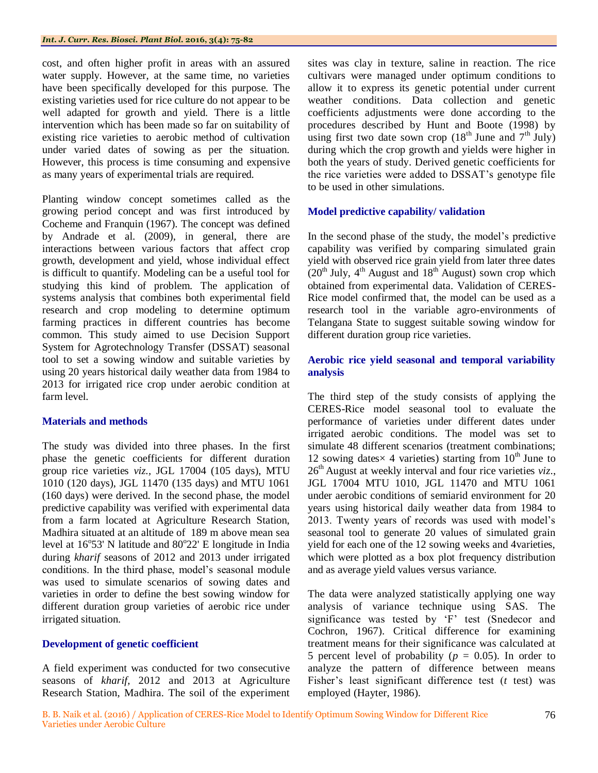cost, and often higher profit in areas with an assured water supply. However, at the same time, no varieties have been specifically developed for this purpose. The existing varieties used for rice culture do not appear to be well adapted for growth and yield. There is a little intervention which has been made so far on suitability of existing rice varieties to aerobic method of cultivation under varied dates of sowing as per the situation. However, this process is time consuming and expensive as many years of experimental trials are required.

Planting window concept sometimes called as the growing period concept and was first introduced by Cocheme and Franquin (1967). The concept was defined by Andrade et al. (2009), in general, there are interactions between various factors that affect crop growth, development and yield, whose individual effect is difficult to quantify. Modeling can be a useful tool for studying this kind of problem. The application of systems analysis that combines both experimental field research and crop modeling to determine optimum farming practices in different countries has become common. This study aimed to use Decision Support System for Agrotechnology Transfer (DSSAT) seasonal tool to set a sowing window and suitable varieties by using 20 years historical daily weather data from 1984 to 2013 for irrigated rice crop under aerobic condition at farm level.

# **Materials and methods**

The study was divided into three phases. In the first phase the genetic coefficients for different duration group rice varieties *viz.,* JGL 17004 (105 days), MTU 1010 (120 days), JGL 11470 (135 days) and MTU 1061 (160 days) were derived. In the second phase, the model predictive capability was verified with experimental data from a farm located at Agriculture Research Station, Madhira situated at an altitude of 189 m above mean sea level at 16°53' N latitude and 80°22' E longitude in India during *kharif* seasons of 2012 and 2013 under irrigated conditions. In the third phase, model"s seasonal module was used to simulate scenarios of sowing dates and varieties in order to define the best sowing window for different duration group varieties of aerobic rice under irrigated situation.

# **Development of genetic coefficient**

A field experiment was conducted for two consecutive seasons of *kharif,* 2012 and 2013 at Agriculture Research Station, Madhira. The soil of the experiment

sites was clay in texture, saline in reaction. The rice cultivars were managed under optimum conditions to allow it to express its genetic potential under current weather conditions. Data collection and genetic coefficients adjustments were done according to the procedures described by Hunt and Boote (1998) by using first two date sown crop  $(18<sup>th</sup>$  June and  $7<sup>th</sup>$  July) during which the crop growth and yields were higher in both the years of study. Derived genetic coefficients for the rice varieties were added to DSSAT"s genotype file to be used in other simulations.

# **Model predictive capability/ validation**

In the second phase of the study, the model"s predictive capability was verified by comparing simulated grain yield with observed rice grain yield from later three dates  $(20<sup>th</sup> July, 4<sup>th</sup> August and 18<sup>th</sup> August)$  sown crop which obtained from experimental data. Validation of CERES-Rice model confirmed that, the model can be used as a research tool in the variable agro-environments of Telangana State to suggest suitable sowing window for different duration group rice varieties.

# **Aerobic rice yield seasonal and temporal variability analysis**

The third step of the study consists of applying the CERES-Rice model seasonal tool to evaluate the performance of varieties under different dates under irrigated aerobic conditions. The model was set to simulate 48 different scenarios (treatment combinations; 12 sowing dates  $\times$  4 varieties) starting from 10<sup>th</sup> June to 26th August at weekly interval and four rice varieties *viz*., JGL 17004 MTU 1010, JGL 11470 and MTU 1061 under aerobic conditions of semiarid environment for 20 years using historical daily weather data from 1984 to 2013. Twenty years of records was used with model"s seasonal tool to generate 20 values of simulated grain yield for each one of the 12 sowing weeks and 4varieties, which were plotted as a box plot frequency distribution and as average yield values versus variance.

The data were analyzed statistically applying one way analysis of variance technique using SAS. The significance was tested by 'F' test (Snedecor and Cochron, 1967). Critical difference for examining treatment means for their significance was calculated at 5 percent level of probability ( $p = 0.05$ ). In order to analyze the pattern of difference between means Fisher"s least significant difference test (*t* test) was employed (Hayter, 1986).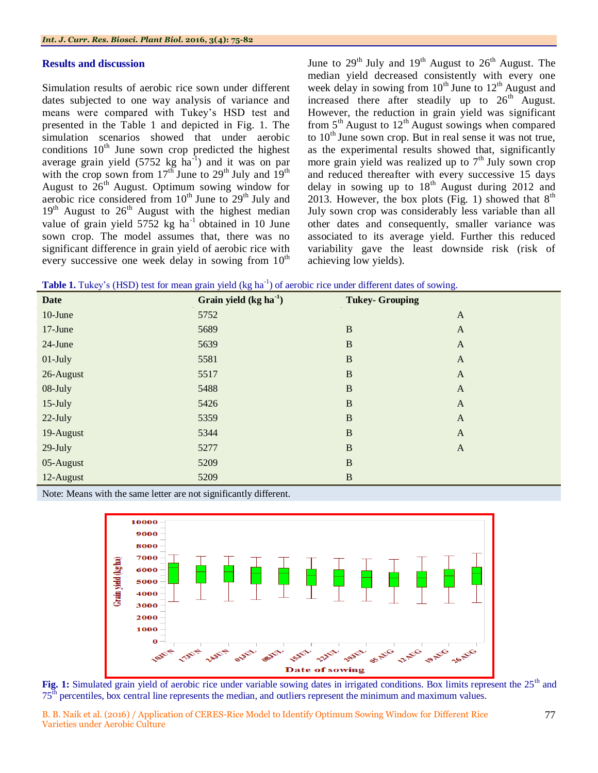### **Results and discussion**

Simulation results of aerobic rice sown under different dates subjected to one way analysis of variance and means were compared with Tukey"s HSD test and presented in the Table 1 and depicted in Fig. 1. The simulation scenarios showed that under aerobic conditions  $10<sup>th</sup>$  June sown crop predicted the highest average grain yield  $(5752 \text{ kg} \text{ ha}^{-1})$  and it was on par with the crop sown from  $17^{th}$  June to  $29^{th}$  July and  $19^{th}$ August to  $26<sup>th</sup>$  August. Optimum sowing window for aerobic rice considered from  $10^{th}$  June to  $29^{th}$  July and  $19<sup>th</sup>$  August to  $26<sup>th</sup>$  August with the highest median value of grain yield  $5752 \text{ kg}$  ha<sup>-1</sup> obtained in 10 June sown crop. The model assumes that, there was no significant difference in grain yield of aerobic rice with every successive one week delay in sowing from  $10^{th}$ 

June to  $29<sup>th</sup>$  July and  $19<sup>th</sup>$  August to  $26<sup>th</sup>$  August. The median yield decreased consistently with every one week delay in sowing from  $10^{th}$  June to  $12^{th}$  August and increased there after steadily up to  $26<sup>th</sup>$  August. However, the reduction in grain yield was significant from  $5<sup>th</sup>$  August to  $12<sup>th</sup>$  August sowings when compared to  $10<sup>th</sup>$  June sown crop. But in real sense it was not true, as the experimental results showed that, significantly more grain yield was realized up to  $7<sup>th</sup>$  July sown crop and reduced thereafter with every successive 15 days delay in sowing up to  $18<sup>th</sup>$  August during 2012 and 2013. However, the box plots (Fig. 1) showed that  $8<sup>th</sup>$ July sown crop was considerably less variable than all other dates and consequently, smaller variance was associated to its average yield. Further this reduced variability gave the least downside risk (risk of achieving low yields).

Table 1. Tukey's (HSD) test for mean grain yield (kg ha<sup>-1</sup>) of aerobic rice under different dates of sowing.

| <b>Date</b> | Grain yield $(kg ha-1)$ | <b>Tukey- Grouping</b> |              |
|-------------|-------------------------|------------------------|--------------|
| $10$ -June  | 5752                    |                        | $\mathbf{A}$ |
| $17$ -June  | 5689                    | $\mathbf B$            | $\mathbf{A}$ |
| 24-June     | 5639                    | $\mathbf B$            | $\mathbf{A}$ |
| $01$ -July  | 5581                    | $\mathbf B$            | $\mathbf{A}$ |
| 26-August   | 5517                    | $\mathbf B$            | $\mathbf{A}$ |
| 08-July     | 5488                    | $\mathbf B$            | $\mathbf{A}$ |
| $15$ -July  | 5426                    | $\mathbf B$            | $\mathbf{A}$ |
| 22-July     | 5359                    | $\mathbf{B}$           | $\mathbf{A}$ |
| 19-August   | 5344                    | $\mathbf{B}$           | $\mathbf{A}$ |
| $29$ -July  | 5277                    | $\mathbf B$            | $\mathbf{A}$ |
| 05-August   | 5209                    | $\mathbf B$            |              |
| 12-August   | 5209                    | $\, {\bf B}$           |              |

Note: Means with the same letter are not significantly different.



Fig. 1: Simulated grain yield of aerobic rice under variable sowing dates in irrigated conditions. Box limits represent the 25<sup>th</sup> and 75th percentiles, box central line represents the median, and outliers represent the minimum and maximum values.

B. B. Naik et al. (2016) / Application of CERES-Rice Model to Identify Optimum Sowing Window for Different Rice Varieties under Aerobic Culture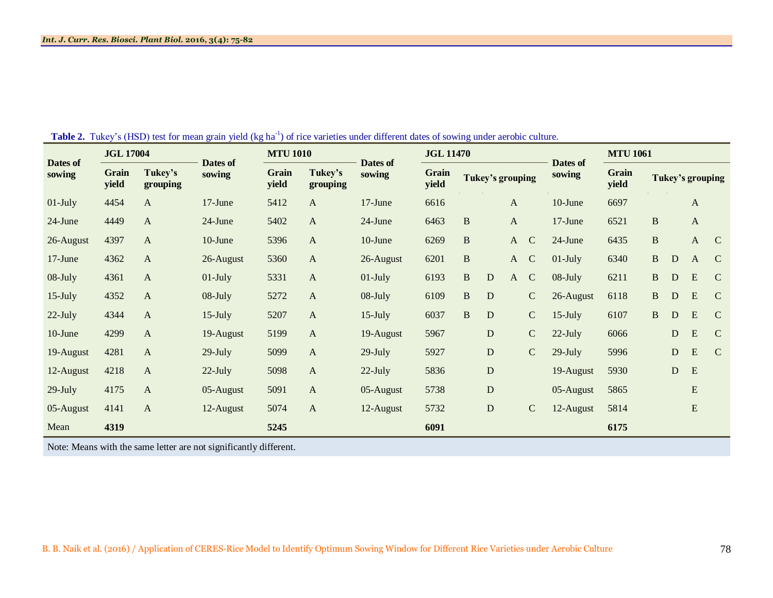| Dates of<br>sowing                                                | <b>JGL 17004</b> |                     |                    | <b>MTU 1010</b> |                     |                    | <b>JGL 11470</b> |              |                         |              |             | <b>MTU 1061</b>    |                |                  |           |              |               |
|-------------------------------------------------------------------|------------------|---------------------|--------------------|-----------------|---------------------|--------------------|------------------|--------------|-------------------------|--------------|-------------|--------------------|----------------|------------------|-----------|--------------|---------------|
|                                                                   | Grain<br>yield   | Tukey's<br>grouping | Dates of<br>sowing | Grain<br>yield  | Tukey's<br>grouping | Dates of<br>sowing | Grain<br>yield   |              | <b>Tukey's grouping</b> |              |             | Dates of<br>sowing | Grain<br>yield | Tukey's grouping |           |              |               |
| $01$ -July                                                        | 4454             | A                   | 17-June            | 5412            | A                   | 17-June            | 6616             |              |                         | A            |             | 10-June            | 6697           |                  |           | $\mathbf{A}$ |               |
| 24-June                                                           | 4449             | $\mathbf{A}$        | 24-June            | 5402            | $\mathbf{A}$        | 24-June            | 6463             | $\, {\bf B}$ |                         | $\mathbf{A}$ |             | 17-June            | 6521           | B                |           | $\mathbf{A}$ |               |
| 26-August                                                         | 4397             | A                   | $10$ -June         | 5396            | A                   | 10-June            | 6269             | $\, {\bf B}$ |                         | $\mathbf{A}$ | $\mathbf C$ | 24-June            | 6435           | $\mathbf B$      |           | $\mathbf{A}$ | $\mathbf C$   |
| $17$ -June                                                        | 4362             | $\mathbf{A}$        | 26-August          | 5360            | $\mathbf{A}$        | 26-August          | 6201             | $\, {\bf B}$ |                         | $\mathbf{A}$ | $\mathbf C$ | $01$ -July         | 6340           | B                | ${\bf D}$ | A            | $\mathbf C$   |
| 08-July                                                           | 4361             | A                   | $01$ -July         | 5331            | A                   | $01$ -July         | 6193             | $\, {\bf B}$ | D                       | $\mathbf{A}$ | $\mathbf C$ | 08-July            | 6211           | B                | ${\bf D}$ | ${\bf E}$    | $\mathcal{C}$ |
| $15$ -July                                                        | 4352             | A                   | $08$ -July         | 5272            | $\mathbf{A}$        | $08$ -July         | 6109             | $\, {\bf B}$ | D                       |              | ${\bf C}$   | 26-August          | 6118           | B                | D         | E            | $\mathcal{C}$ |
| $22$ -July                                                        | 4344             | A                   | $15$ -July         | 5207            | A                   | $15$ -July         | 6037             | $\mathbf B$  | D                       |              | ${\bf C}$   | $15$ -July         | 6107           | B                | ${\bf D}$ | E            | $\mathcal{C}$ |
| 10-June                                                           | 4299             | $\mathbf{A}$        | 19-August          | 5199            | $\mathbf{A}$        | 19-August          | 5967             |              | $\mathbf D$             |              | $\mathbf C$ | $22$ -July         | 6066           |                  | ${\bf D}$ | ${\bf E}$    | $\mathbf C$   |
| 19-August                                                         | 4281             | $\mathbf{A}$        | $29$ -July         | 5099            | $\mathbf{A}$        | $29$ -July         | 5927             |              | ${\bf D}$               |              | $\mathbf C$ | $29$ -July         | 5996           |                  | ${\bf D}$ | ${\bf E}$    | $\mathbf C$   |
| 12-August                                                         | 4218             | A                   | $22$ -July         | 5098            | $\mathbf{A}$        | $22$ -July         | 5836             |              | ${\bf D}$               |              |             | 19-August          | 5930           |                  | D         | E            |               |
| $29$ -July                                                        | 4175             | A                   | 05-August          | 5091            | A                   | 05-August          | 5738             |              | $\mathbf D$             |              |             | 05-August          | 5865           |                  |           | ${\bf E}$    |               |
| 05-August                                                         | 4141             | A                   | 12-August          | 5074            | A                   | 12-August          | 5732             |              | $\mathbf D$             |              | $\mathbf C$ | 12-August          | 5814           |                  |           | ${\bf E}$    |               |
| Mean                                                              | 4319             |                     |                    | 5245            |                     |                    | 6091             |              |                         |              |             |                    | 6175           |                  |           |              |               |
| Note: Means with the same letter are not significantly different. |                  |                     |                    |                 |                     |                    |                  |              |                         |              |             |                    |                |                  |           |              |               |

**Table 2.** Tukey's (HSD) test for mean grain yield (kg ha<sup>-1</sup>) of rice varieties under different dates of sowing under aerobic culture.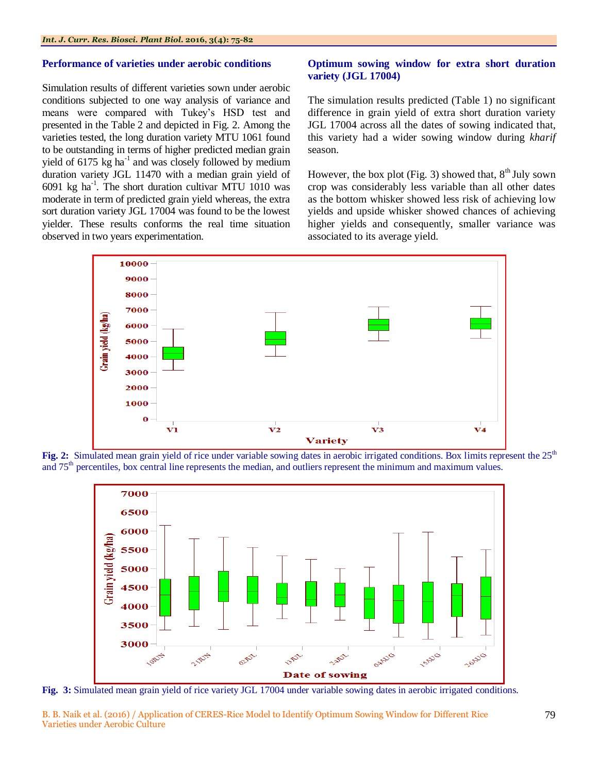#### **Performance of varieties under aerobic conditions**

Simulation results of different varieties sown under aerobic conditions subjected to one way analysis of variance and means were compared with Tukey"s HSD test and presented in the Table 2 and depicted in Fig. 2. Among the varieties tested, the long duration variety MTU 1061 found to be outstanding in terms of higher predicted median grain yield of  $6175 \text{ kg}$  ha<sup>-1</sup> and was closely followed by medium duration variety JGL 11470 with a median grain yield of  $6091$  kg ha<sup>-1</sup>. The short duration cultivar MTU 1010 was moderate in term of predicted grain yield whereas, the extra sort duration variety JGL 17004 was found to be the lowest yielder. These results conforms the real time situation observed in two years experimentation.

# **Optimum sowing window for extra short duration variety (JGL 17004)**

The simulation results predicted (Table 1) no significant difference in grain yield of extra short duration variety JGL 17004 across all the dates of sowing indicated that, this variety had a wider sowing window during *kharif* season.

However, the box plot (Fig. 3) showed that,  $8<sup>th</sup>$  July sown crop was considerably less variable than all other dates as the bottom whisker showed less risk of achieving low yields and upside whisker showed chances of achieving higher yields and consequently, smaller variance was associated to its average yield.



**Fig. 2:** Simulated mean grain yield of rice under variable sowing dates in aerobic irrigated conditions. Box limits represent the 25<sup>th</sup> and  $75<sup>th</sup>$  percentiles, box central line represents the median, and outliers represent the minimum and maximum values.



**Fig. 3:** Simulated mean grain yield of rice variety JGL 17004 under variable sowing dates in aerobic irrigated conditions.

B. B. Naik et al. (2016) / Application of CERES-Rice Model to Identify Optimum Sowing Window for Different Rice Varieties under Aerobic Culture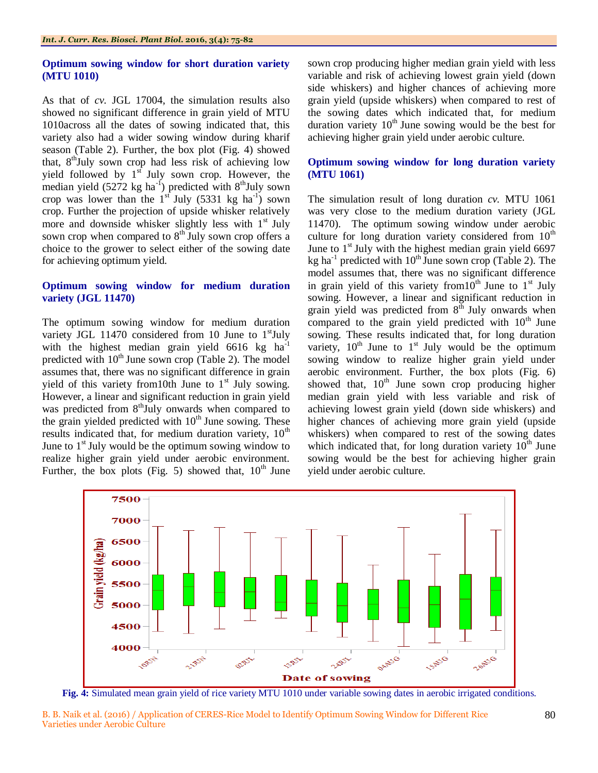## **Optimum sowing window for short duration variety (MTU 1010)**

As that of *cv.* JGL 17004, the simulation results also showed no significant difference in grain yield of MTU 1010across all the dates of sowing indicated that, this variety also had a wider sowing window during kharif season (Table 2). Further, the box plot (Fig. 4) showed that,  $8<sup>th</sup>$ July sown crop had less risk of achieving low yield followed by  $1<sup>st</sup>$  July sown crop. However, the median yield  $(5272 \text{ kg ha}^{-1})$  predicted with  $8^{\text{th}}$ July sown crop was lower than the  $1<sup>sf</sup>$  July (5331 kg ha<sup>-1</sup>) sown crop. Further the projection of upside whisker relatively more and downside whisker slightly less with  $1<sup>st</sup>$  July sown crop when compared to  $8<sup>th</sup>$  July sown crop offers a choice to the grower to select either of the sowing date for achieving optimum yield.

# **Optimum sowing window for medium duration variety (JGL 11470)**

The optimum sowing window for medium duration variety JGL 11470 considered from 10 June to  $1<sup>st</sup>$  July with the highest median grain yield  $6616$  kg ha<sup>-1</sup> predicted with  $10<sup>th</sup>$  June sown crop (Table 2). The model assumes that, there was no significant difference in grain yield of this variety from 0th June to  $1<sup>st</sup>$  July sowing. However, a linear and significant reduction in grain yield was predicted from  $8<sup>th</sup>$ July onwards when compared to the grain yielded predicted with  $10<sup>th</sup>$  June sowing. These results indicated that, for medium duration variety,  $10<sup>th</sup>$ June to  $1<sup>st</sup>$  July would be the optimum sowing window to realize higher grain yield under aerobic environment. Further, the box plots (Fig. 5) showed that,  $10^{th}$  June

sown crop producing higher median grain yield with less variable and risk of achieving lowest grain yield (down side whiskers) and higher chances of achieving more grain yield (upside whiskers) when compared to rest of the sowing dates which indicated that, for medium duration variety  $10^{th}$  June sowing would be the best for achieving higher grain yield under aerobic culture.

# **Optimum sowing window for long duration variety (MTU 1061)**

The simulation result of long duration *cv.* MTU 1061 was very close to the medium duration variety (JGL 11470). The optimum sowing window under aerobic culture for long duration variety considered from  $10<sup>th</sup>$ June to  $1<sup>st</sup>$  July with the highest median grain yield 6697 kg ha<sup>-1</sup> predicted with  $10^{th}$  June sown crop (Table 2). The model assumes that, there was no significant difference in grain yield of this variety from  $10^{th}$  June to  $1^{st}$  July sowing. However, a linear and significant reduction in grain yield was predicted from  $8<sup>th</sup>$  July onwards when compared to the grain yield predicted with  $10<sup>th</sup>$  June sowing. These results indicated that, for long duration variety,  $10^{th}$  June to  $1^{st}$  July would be the optimum sowing window to realize higher grain yield under aerobic environment. Further, the box plots (Fig. 6) showed that,  $10^{th}$  June sown crop producing higher median grain yield with less variable and risk of achieving lowest grain yield (down side whiskers) and higher chances of achieving more grain yield (upside whiskers) when compared to rest of the sowing dates which indicated that, for long duration variety  $10<sup>th</sup>$  June sowing would be the best for achieving higher grain yield under aerobic culture.



**Fig. 4:** Simulated mean grain yield of rice variety MTU 1010 under variable sowing dates in aerobic irrigated conditions.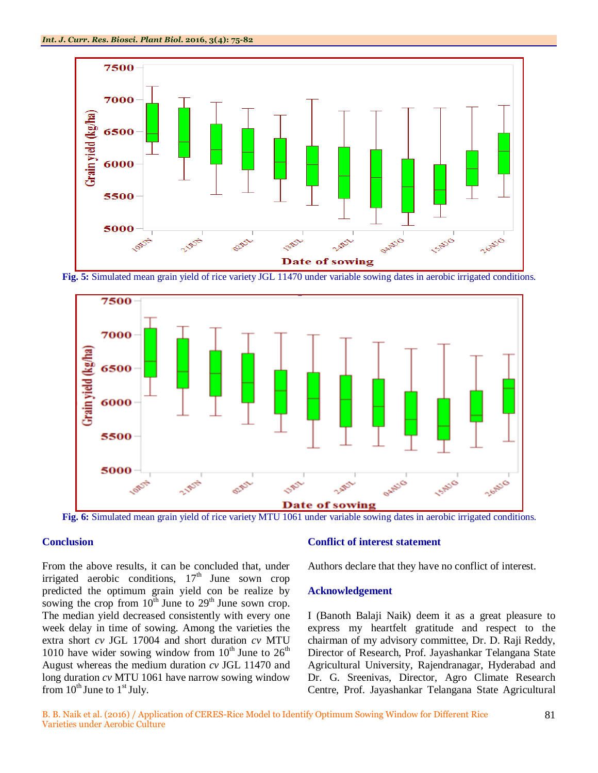

**Fig. 5:** Simulated mean grain yield of rice variety JGL 11470 under variable sowing dates in aerobic irrigated conditions.



**Fig. 6:** Simulated mean grain yield of rice variety MTU 1061 under variable sowing dates in aerobic irrigated conditions.

# **Conclusion**

From the above results, it can be concluded that, under irrigated aerobic conditions,  $17<sup>th</sup>$  June sown crop predicted the optimum grain yield con be realize by sowing the crop from  $10^{th}$  June to  $29^{th}$  June sown crop. The median yield decreased consistently with every one week delay in time of sowing. Among the varieties the extra short *cv* JGL 17004 and short duration *cv* MTU 1010 have wider sowing window from  $10^{th}$  June to  $26^{th}$ August whereas the medium duration *cv* JGL 11470 and long duration *cv* MTU 1061 have narrow sowing window from  $10^{th}$  June to  $1^{st}$  July.

#### **Conflict of interest statement**

Authors declare that they have no conflict of interest.

### **Acknowledgement**

I (Banoth Balaji Naik) deem it as a great pleasure to express my heartfelt gratitude and respect to the chairman of my advisory committee, Dr. D. Raji Reddy, Director of Research, Prof. Jayashankar Telangana State Agricultural University, Rajendranagar, Hyderabad and Dr. G. Sreenivas, Director, Agro Climate Research Centre, Prof. Jayashankar Telangana State Agricultural